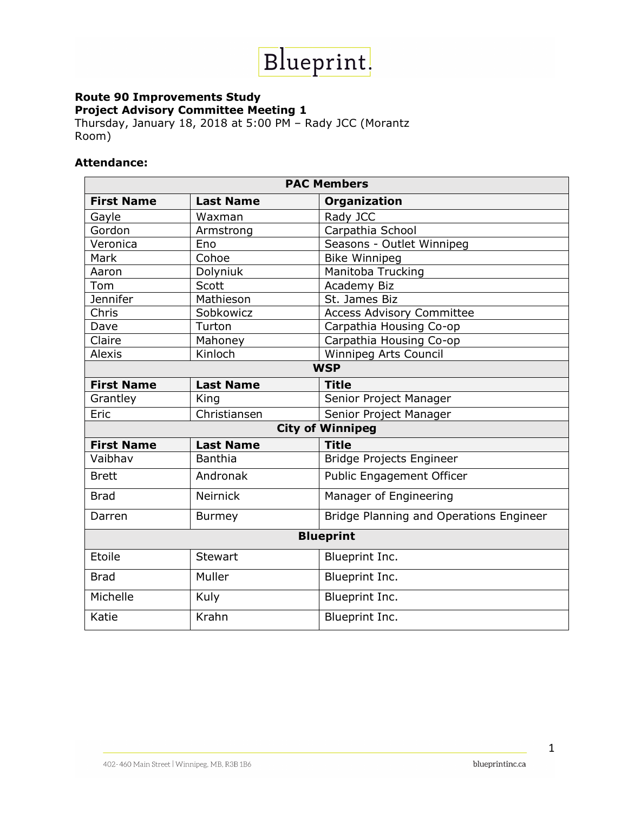

## **Route 90 Improvements Study Project Advisory Committee Meeting 1**

Thursday, January 18, 2018 at 5:00 PM – Rady JCC (Morantz Room)

#### **Attendance:**

| <b>PAC Members</b>      |                  |                                         |
|-------------------------|------------------|-----------------------------------------|
| <b>First Name</b>       | <b>Last Name</b> | <b>Organization</b>                     |
| Gayle                   | Waxman           | Rady JCC                                |
| Gordon                  | Armstrong        | Carpathia School                        |
| Veronica                | Eno              | Seasons - Outlet Winnipeg               |
| Mark                    | Cohoe            | <b>Bike Winnipeg</b>                    |
| Aaron                   | Dolyniuk         | Manitoba Trucking                       |
| Tom                     | Scott            | Academy Biz                             |
| <b>Jennifer</b>         | Mathieson        | St. James Biz                           |
| Chris                   | Sobkowicz        | <b>Access Advisory Committee</b>        |
| Dave                    | Turton           | Carpathia Housing Co-op                 |
| Claire                  | Mahoney          | Carpathia Housing Co-op                 |
| Alexis                  | Kinloch          | Winnipeg Arts Council                   |
| <b>WSP</b>              |                  |                                         |
| <b>First Name</b>       | <b>Last Name</b> | <b>Title</b>                            |
| Grantley                | King             | Senior Project Manager                  |
| Eric                    | Christiansen     | Senior Project Manager                  |
| <b>City of Winnipeg</b> |                  |                                         |
| <b>First Name</b>       | <b>Last Name</b> | <b>Title</b>                            |
| Vaibhav                 | Banthia          | Bridge Projects Engineer                |
| <b>Brett</b>            | Andronak         | Public Engagement Officer               |
| <b>Brad</b>             | <b>Neirnick</b>  | Manager of Engineering                  |
| Darren                  | <b>Burmey</b>    | Bridge Planning and Operations Engineer |
| <b>Blueprint</b>        |                  |                                         |
| Etoile                  | Stewart          | Blueprint Inc.                          |
| <b>Brad</b>             | Muller           | Blueprint Inc.                          |
| Michelle                | Kuly             | Blueprint Inc.                          |
| Katie                   | Krahn            | Blueprint Inc.                          |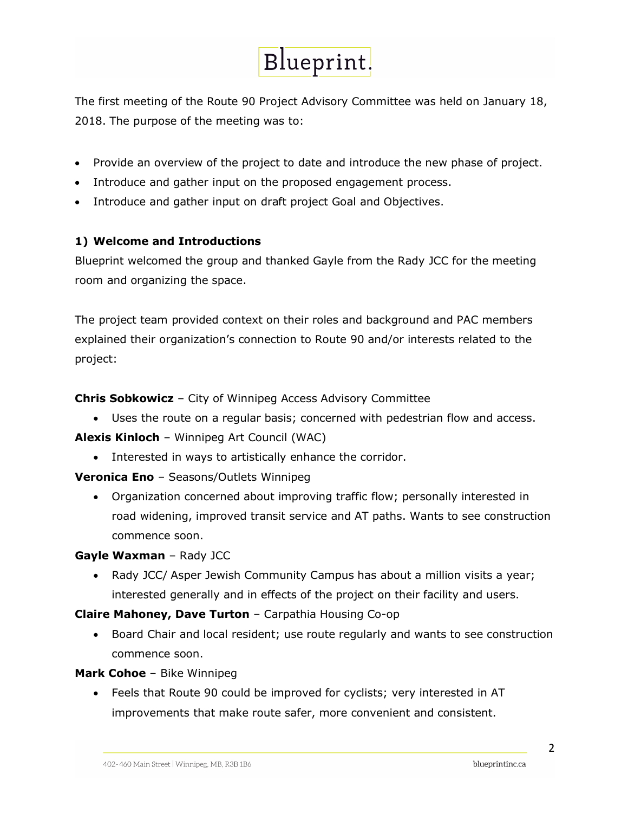# Blueprint.

The first meeting of the Route 90 Project Advisory Committee was held on January 18, 2018. The purpose of the meeting was to:

- Provide an overview of the project to date and introduce the new phase of project.
- Introduce and gather input on the proposed engagement process.
- Introduce and gather input on draft project Goal and Objectives.

## **1) Welcome and Introductions**

Blueprint welcomed the group and thanked Gayle from the Rady JCC for the meeting room and organizing the space.

The project team provided context on their roles and background and PAC members explained their organization's connection to Route 90 and/or interests related to the project:

**Chris Sobkowicz** – City of Winnipeg Access Advisory Committee

• Uses the route on a regular basis; concerned with pedestrian flow and access.

**Alexis Kinloch** – Winnipeg Art Council (WAC)

• Interested in ways to artistically enhance the corridor.

**Veronica Eno** – Seasons/Outlets Winnipeg

• Organization concerned about improving traffic flow; personally interested in road widening, improved transit service and AT paths. Wants to see construction commence soon.

**Gayle Waxman** – Rady JCC

• Rady JCC/ Asper Jewish Community Campus has about a million visits a year; interested generally and in effects of the project on their facility and users.

**Claire Mahoney, Dave Turton** – Carpathia Housing Co-op

• Board Chair and local resident; use route regularly and wants to see construction commence soon.

**Mark Cohoe** – Bike Winnipeg

• Feels that Route 90 could be improved for cyclists; very interested in AT improvements that make route safer, more convenient and consistent.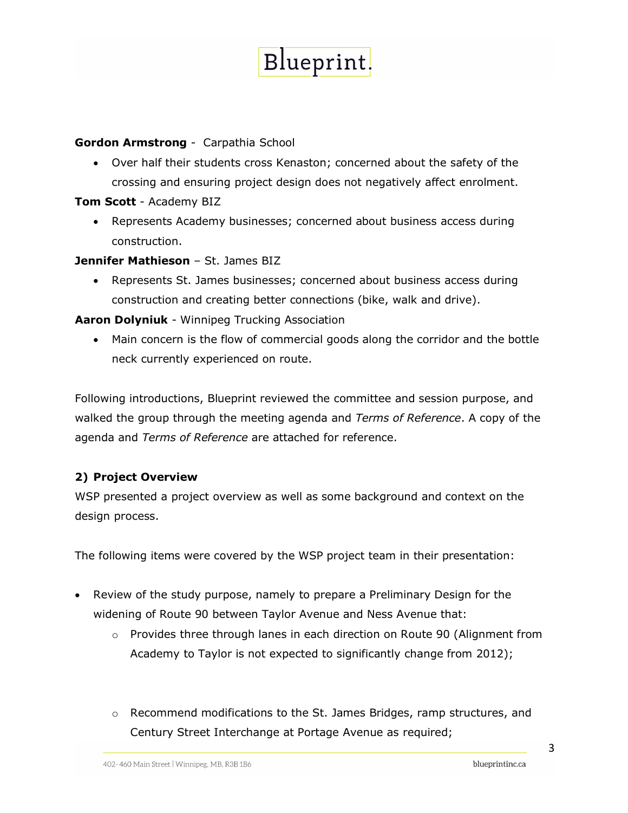Blueprint.

#### **Gordon Armstrong** - Carpathia School

• Over half their students cross Kenaston; concerned about the safety of the crossing and ensuring project design does not negatively affect enrolment.

#### **Tom Scott** - Academy BIZ

• Represents Academy businesses; concerned about business access during construction.

**Jennifer Mathieson** – St. James BIZ

• Represents St. James businesses; concerned about business access during construction and creating better connections (bike, walk and drive).

**Aaron Dolyniuk** - Winnipeg Trucking Association

• Main concern is the flow of commercial goods along the corridor and the bottle neck currently experienced on route.

Following introductions, Blueprint reviewed the committee and session purpose, and walked the group through the meeting agenda and *Terms of Reference*. A copy of the agenda and *Terms of Reference* are attached for reference.

### **2) Project Overview**

WSP presented a project overview as well as some background and context on the design process.

The following items were covered by the WSP project team in their presentation:

- Review of the study purpose, namely to prepare a Preliminary Design for the widening of Route 90 between Taylor Avenue and Ness Avenue that:
	- $\circ$  Provides three through lanes in each direction on Route 90 (Alignment from Academy to Taylor is not expected to significantly change from 2012);
	- $\circ$  Recommend modifications to the St. James Bridges, ramp structures, and Century Street Interchange at Portage Avenue as required;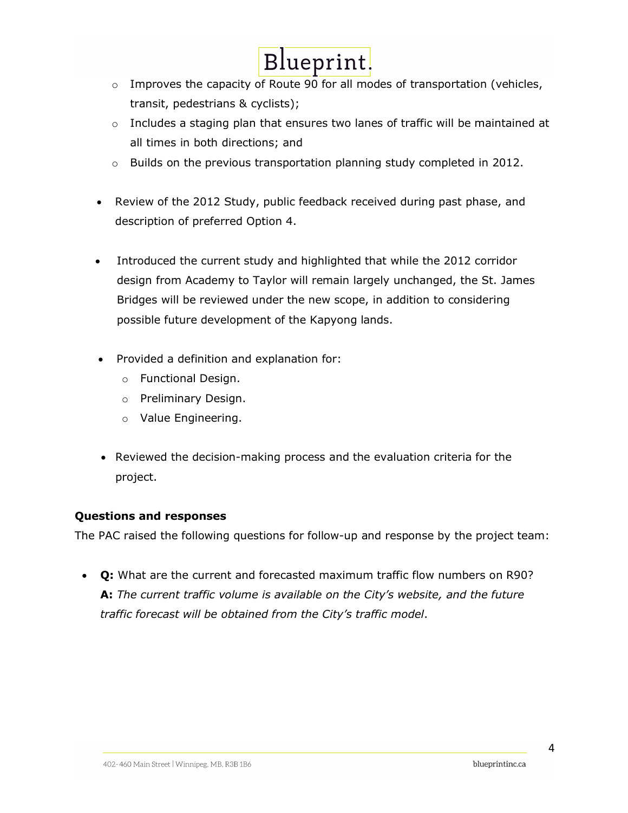

- o Improves the capacity of Route 90 for all modes of transportation (vehicles, transit, pedestrians & cyclists);
- o Includes a staging plan that ensures two lanes of traffic will be maintained at all times in both directions; and
- $\circ$  Builds on the previous transportation planning study completed in 2012.
- Review of the 2012 Study, public feedback received during past phase, and description of preferred Option 4.
- Introduced the current study and highlighted that while the 2012 corridor design from Academy to Taylor will remain largely unchanged, the St. James Bridges will be reviewed under the new scope, in addition to considering possible future development of the Kapyong lands.
- Provided a definition and explanation for:
	- o Functional Design.
	- o Preliminary Design.
	- o Value Engineering.
- Reviewed the decision-making process and the evaluation criteria for the project.

### **Questions and responses**

The PAC raised the following questions for follow-up and response by the project team:

• **Q:** What are the current and forecasted maximum traffic flow numbers on R90? **A:** *The current traffic volume is available on the City's website, and the future traffic forecast will be obtained from the City's traffic model*.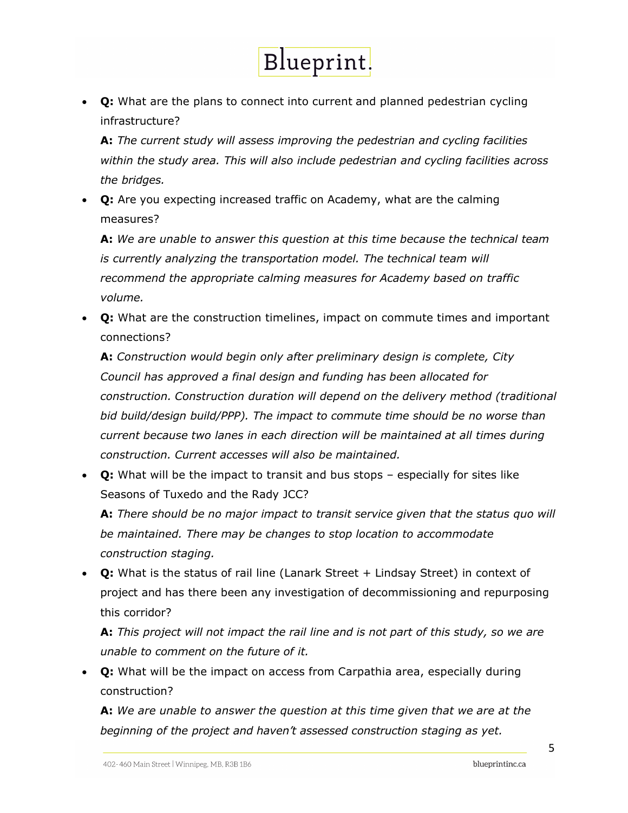# Blueprint.

• **Q:** What are the plans to connect into current and planned pedestrian cycling infrastructure?

**A:** *The current study will assess improving the pedestrian and cycling facilities within the study area. This will also include pedestrian and cycling facilities across the bridges.*

• **Q:** Are you expecting increased traffic on Academy, what are the calming measures?

**A:** *We are unable to answer this question at this time because the technical team is currently analyzing the transportation model. The technical team will recommend the appropriate calming measures for Academy based on traffic volume.*

• **Q:** What are the construction timelines, impact on commute times and important connections?

**A:** *Construction would begin only after preliminary design is complete, City Council has approved a final design and funding has been allocated for construction. Construction duration will depend on the delivery method (traditional bid build/design build/PPP). The impact to commute time should be no worse than current because two lanes in each direction will be maintained at all times during construction. Current accesses will also be maintained.*

• **Q:** What will be the impact to transit and bus stops – especially for sites like Seasons of Tuxedo and the Rady JCC?

**A:** *There should be no major impact to transit service given that the status quo will be maintained. There may be changes to stop location to accommodate construction staging.*

• **Q:** What is the status of rail line (Lanark Street + Lindsay Street) in context of project and has there been any investigation of decommissioning and repurposing this corridor?

**A:** *This project will not impact the rail line and is not part of this study, so we are unable to comment on the future of it.*

• **Q:** What will be the impact on access from Carpathia area, especially during construction?

**A:** *We are unable to answer the question at this time given that we are at the beginning of the project and haven't assessed construction staging as yet.*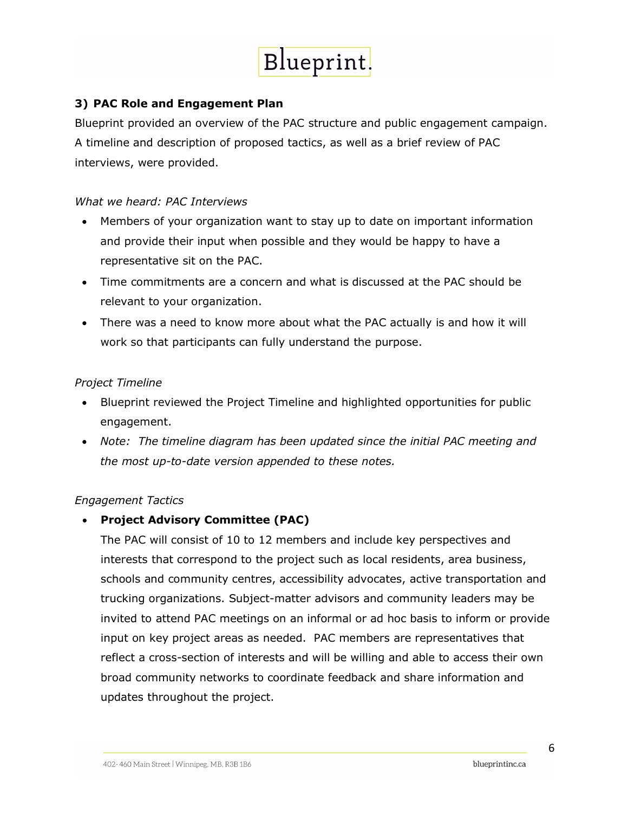

## **3) PAC Role and Engagement Plan**

Blueprint provided an overview of the PAC structure and public engagement campaign. A timeline and description of proposed tactics, as well as a brief review of PAC interviews, were provided.

#### *What we heard: PAC Interviews*

- Members of your organization want to stay up to date on important information and provide their input when possible and they would be happy to have a representative sit on the PAC.
- Time commitments are a concern and what is discussed at the PAC should be relevant to your organization.
- There was a need to know more about what the PAC actually is and how it will work so that participants can fully understand the purpose.

#### *Project Timeline*

- Blueprint reviewed the Project Timeline and highlighted opportunities for public engagement.
- *Note: The timeline diagram has been updated since the initial PAC meeting and the most up-to-date version appended to these notes.*

### *Engagement Tactics*

### • **Project Advisory Committee (PAC)**

The PAC will consist of 10 to 12 members and include key perspectives and interests that correspond to the project such as local residents, area business, schools and community centres, accessibility advocates, active transportation and trucking organizations. Subject-matter advisors and community leaders may be invited to attend PAC meetings on an informal or ad hoc basis to inform or provide input on key project areas as needed. PAC members are representatives that reflect a cross-section of interests and will be willing and able to access their own broad community networks to coordinate feedback and share information and updates throughout the project.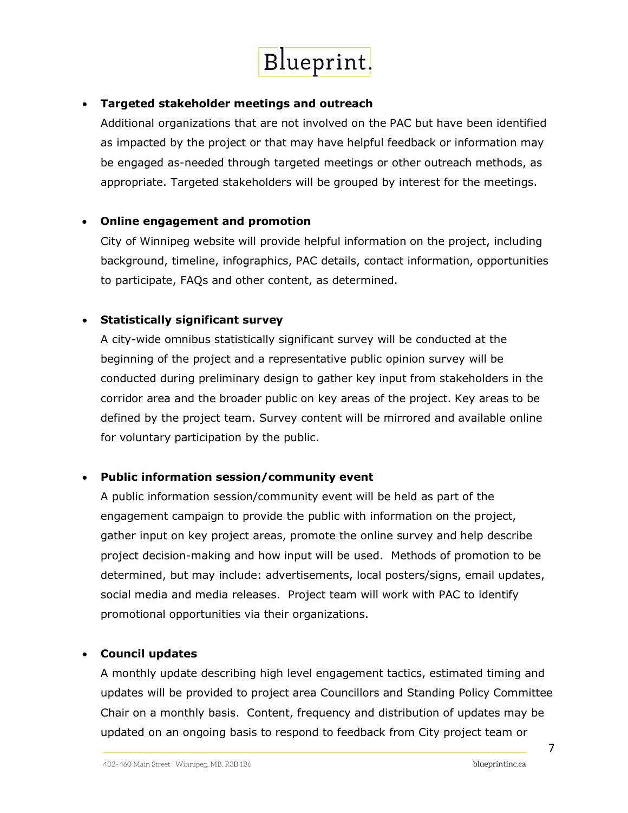

### • **Targeted stakeholder meetings and outreach**

Additional organizations that are not involved on the PAC but have been identified as impacted by the project or that may have helpful feedback or information may be engaged as-needed through targeted meetings or other outreach methods, as appropriate. Targeted stakeholders will be grouped by interest for the meetings.

### • **Online engagement and promotion**

City of Winnipeg website will provide helpful information on the project, including background, timeline, infographics, PAC details, contact information, opportunities to participate, FAQs and other content, as determined.

### • **Statistically significant survey**

A city-wide omnibus statistically significant survey will be conducted at the beginning of the project and a representative public opinion survey will be conducted during preliminary design to gather key input from stakeholders in the corridor area and the broader public on key areas of the project. Key areas to be defined by the project team. Survey content will be mirrored and available online for voluntary participation by the public.

# • **Public information session/community event**

A public information session/community event will be held as part of the engagement campaign to provide the public with information on the project, gather input on key project areas, promote the online survey and help describe project decision-making and how input will be used. Methods of promotion to be determined, but may include: advertisements, local posters/signs, email updates, social media and media releases. Project team will work with PAC to identify promotional opportunities via their organizations.

### • **Council updates**

A monthly update describing high level engagement tactics, estimated timing and updates will be provided to project area Councillors and Standing Policy Committee Chair on a monthly basis. Content, frequency and distribution of updates may be updated on an ongoing basis to respond to feedback from City project team or